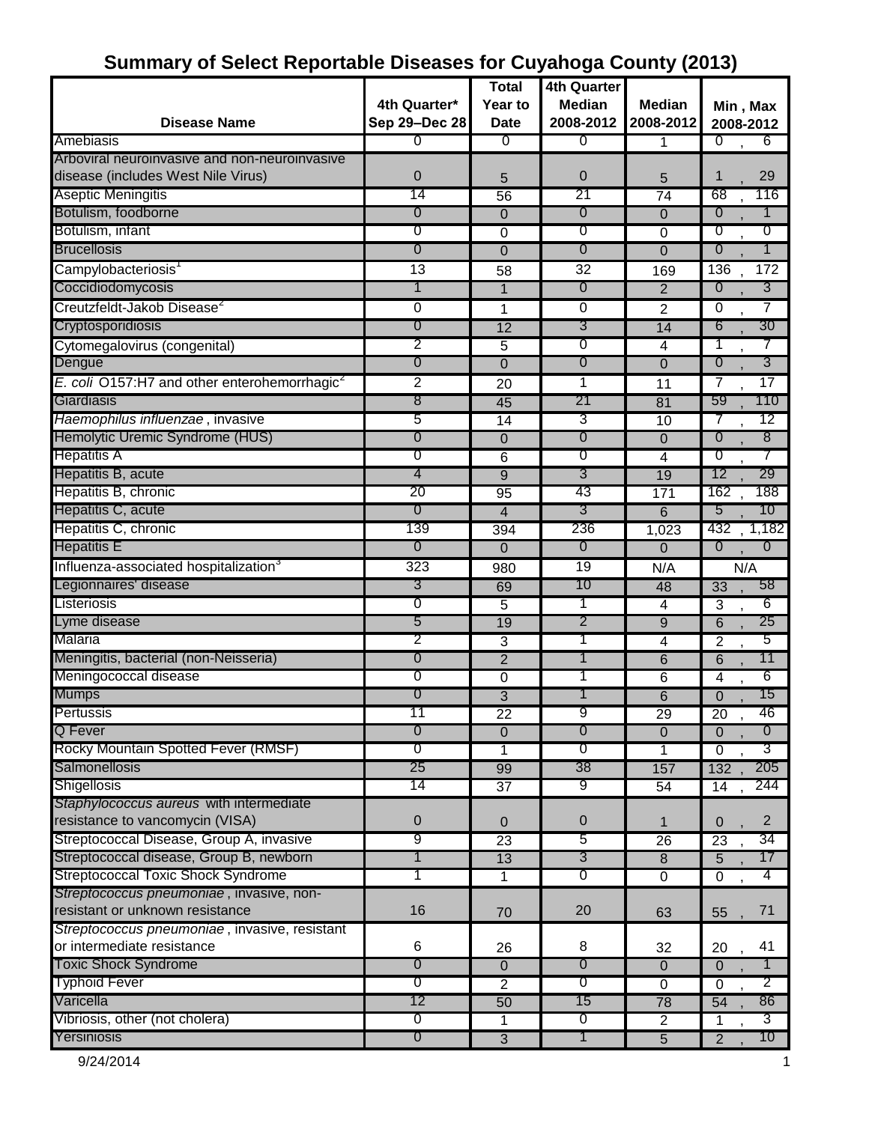| <b>Disease Name</b>                                                                 | 4th Quarter*<br>Sep 29-Dec 28 | <b>Total</b><br>Year to<br><b>Date</b> | 4th Quarter<br><b>Median</b><br>2008-2012 | <b>Median</b><br>2008-2012 | Min, Max<br>2008-2012             |
|-------------------------------------------------------------------------------------|-------------------------------|----------------------------------------|-------------------------------------------|----------------------------|-----------------------------------|
| Amebiasis                                                                           | 0                             | 0                                      | 0                                         | 1                          | ℧<br>6                            |
| Arboviral neuroinvasive and non-neuroinvasive<br>disease (includes West Nile Virus) | 0                             | 5                                      | 0                                         | 5                          | 29<br>1                           |
| Aseptic Meningitis                                                                  | 14                            | 56                                     | 21                                        | $\overline{74}$            | 116<br>68                         |
| Botulism, foodborne                                                                 | 0                             | 0                                      | 0                                         | $\mathbf 0$                | $\overline{0}$<br>1               |
| Botulism, infant                                                                    | 0                             | 0                                      | 0                                         | 0                          | 0<br>0                            |
| <b>Brucellosis</b>                                                                  | 0                             | $\overline{0}$                         | 0                                         | $\overline{0}$             | $\overline{0}$<br>1               |
| Campylobacteriosis                                                                  | $\overline{13}$               | 58                                     | $\overline{32}$                           | 169                        | 136<br>172                        |
| Coccidiodomycosis                                                                   | 1                             | 1                                      | 0                                         | $\overline{2}$             | 3<br>0                            |
| Creutzfeldt-Jakob Disease <sup>2</sup>                                              | 0                             | 1                                      | 0                                         | $\overline{2}$             | $\overline{7}$<br>$\overline{0}$  |
| Cryptosporidiosis                                                                   | 0                             | 12                                     | 3                                         | 14                         | 30<br>6                           |
| Cytomegalovirus (congenital)                                                        | 2                             | 5                                      | 0                                         | $\overline{4}$             |                                   |
| Dengue                                                                              | $\overline{0}$                | 0                                      | $\overline{0}$                            | 0                          | 3<br>$\overline{0}$               |
| E. coli O157:H7 and other enterohemorrhagic <sup>2</sup>                            | 2                             | 20                                     | 1                                         | 11                         | $\overline{17}$<br>7              |
| Giardiasis                                                                          | 8                             | 45                                     | 21                                        | 81                         | 110<br>59                         |
| Haemophilus influenzae, invasive                                                    | 5                             | 14                                     | 3                                         | 10                         | 12<br>7                           |
| Hemolytic Uremic Syndrome (HUS)                                                     | 0                             | 0                                      | 0                                         | $\overline{0}$             | 8<br>$\overline{0}$               |
| <b>Hepatitis A</b>                                                                  | 0                             | 6                                      | 0                                         | 4                          | 0                                 |
| Hepatitis B, acute                                                                  | 4                             | $\overline{9}$                         | 3                                         | 19                         | 29<br>12                          |
| Hepatitis B, chronic                                                                | 20                            | 95                                     | 43                                        | 171                        | 188<br>162                        |
| Hepatitis C, acute                                                                  | 0                             | 4                                      | 3                                         | 6                          | 10<br>5                           |
| Hepatitis C, chronic                                                                | 139                           | 394                                    | 236                                       | 1,023                      | 1,182<br>432                      |
| <b>Hepatitis E</b>                                                                  | 0                             | $\mathbf 0$                            | 0                                         | 0                          | $\overline{0}$<br>$\overline{0}$  |
| Influenza-associated hospitalization <sup>3</sup>                                   | $\overline{323}$              | 980                                    | 19                                        | N/A                        | N/A                               |
| Legionnaires' disease                                                               | 3                             | 69                                     | 10                                        | 48                         | 58<br>$\overline{33}$             |
| Listeriosis                                                                         | 0                             | 5                                      | 1                                         | 4                          | 6<br>$\overline{3}$               |
| Lyme disease                                                                        | 5                             | 19                                     | 2                                         | 9                          | 25<br>$\overline{6}$              |
| Malaria                                                                             | 2                             | 3                                      | T                                         | 4                          | 5<br>$\overline{2}$               |
| Meningitis, bacterial (non-Neisseria)                                               | 0                             | $\overline{2}$                         | 1                                         | 6                          | 11<br>$\overline{6}$              |
| Meningococcal disease                                                               | 0                             | 0                                      | 1                                         | 6                          | 6<br>4                            |
| <b>Mumps</b>                                                                        | 0                             | $\overline{3}$                         |                                           | $\overline{6}$             | 15<br>0                           |
| Pertussis                                                                           | 11                            | 22                                     | 9                                         | 29                         | 20<br>46                          |
| Q Fever                                                                             | 0                             | $\overline{0}$                         | $\overline{0}$                            | $\overline{0}$             | 0<br>$\overline{0}$               |
| Rocky Mountain Spotted Fever (RMSF)                                                 | 0                             | $\mathbf{1}$                           | σ                                         | 1                          | 3<br>$\Omega$                     |
| Salmonellosis                                                                       | 25                            | 99                                     | 38                                        | 157                        | 205<br>132                        |
| Shigellosis                                                                         | 14                            | 37                                     | 9                                         | 54                         | 244<br>14                         |
| Staphylococcus aureus with intermediate                                             |                               |                                        |                                           |                            |                                   |
| resistance to vancomycin (VISA)                                                     | 0                             | $\overline{0}$                         | $\pmb{0}$                                 | 1                          | $\overline{2}$<br>$\mathbf{0}$    |
| Streptococcal Disease, Group A, invasive                                            | 9                             | 23                                     | 5                                         | 26                         | 34<br>23                          |
| Streptococcal disease, Group B, newborn                                             | 1                             | 13                                     | 3                                         | $\overline{8}$             | 17<br>5                           |
| <b>Streptococcal Toxic Shock Syndrome</b>                                           | 1                             | 1                                      | 0                                         | $\overline{0}$             | 4<br>$\overline{0}$               |
| Streptococcus pneumoniae, invasive, non-                                            |                               |                                        |                                           |                            |                                   |
| resistant or unknown resistance                                                     | 16                            | 70                                     | 20                                        | 63                         | 71<br>55                          |
| Streptococcus pneumoniae, invasive, resistant                                       |                               |                                        |                                           |                            |                                   |
| or intermediate resistance                                                          | 6                             | 26                                     | 8                                         | 32                         | 41<br>20                          |
| <b>Toxic Shock Syndrome</b>                                                         | 0                             | $\overline{0}$                         | 0                                         | $\overline{0}$             | 1<br>$\mathbf 0$                  |
| <b>Typhoid Fever</b>                                                                | 0                             | $\overline{2}$                         | 0                                         | $\overline{0}$             | 2<br>0                            |
| Varicella                                                                           | 12                            | 50                                     | 15                                        | 78                         | 86<br>54                          |
| Vibriosis, other (not cholera)                                                      | $\sigma$                      | $\mathbf 1$                            | $\sigma$                                  | $\overline{2}$             | $3^{-}$<br>1                      |
| Yersiniosis                                                                         | $\overline{0}$                | $\overline{3}$                         | 1                                         | $\overline{5}$             | 10 <sup>1</sup><br>$\overline{2}$ |

## **Summary of Select Reportable Diseases for Cuyahoga County (2013)**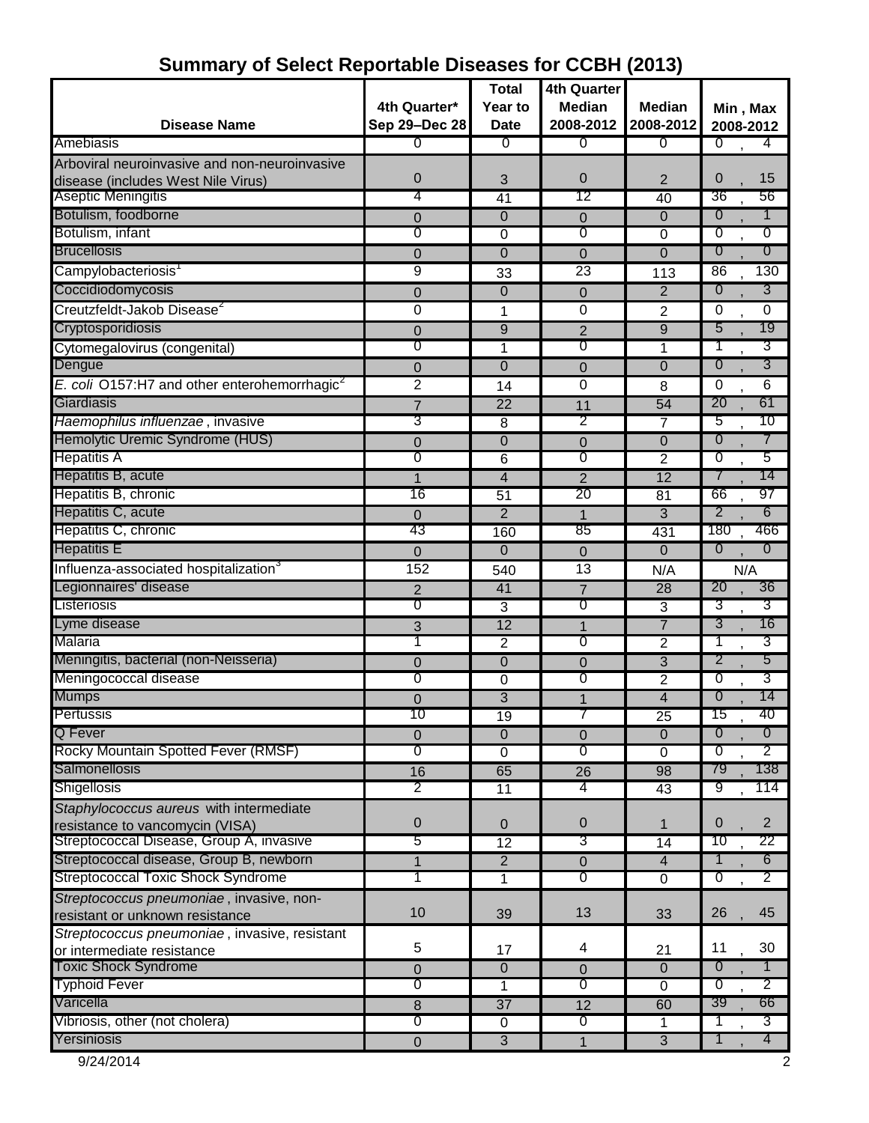| <b>Disease Name</b>                                         | 4th Quarter*<br>Sep 29-Dec 28 | <b>Total</b><br>Year to<br><b>Date</b> | <b>4th Quarter</b><br><b>Median</b><br>2008-2012 | <b>Median</b><br>2008-2012 | Min, Max<br>2008-2012            |
|-------------------------------------------------------------|-------------------------------|----------------------------------------|--------------------------------------------------|----------------------------|----------------------------------|
| Amebiasis                                                   | 0                             | σ                                      | 0                                                | σ                          | $\overline{0}$<br>4              |
| Arboviral neuroinvasive and non-neuroinvasive               |                               |                                        |                                                  |                            |                                  |
| disease (includes West Nile Virus)                          | 0                             | 3                                      | 0                                                | 2                          | $\mathbf 0$<br>15                |
| Aseptic Meningitis                                          | 4                             | 41                                     | 12                                               | 40                         | 36<br>56                         |
| Botulism, foodborne                                         |                               |                                        |                                                  | 0                          | 0<br>1                           |
| Botulism, infant                                            | 0<br>0                        | 0<br>0                                 | $\mathbf 0$<br>0                                 | $\overline{0}$             | 0<br>0                           |
| <b>Brucellosis</b>                                          |                               | $\Omega$                               |                                                  | $\overline{0}$             | 0<br>$\overline{0}$              |
|                                                             | 0                             |                                        | 0                                                |                            |                                  |
| Campylobacteriosis                                          | 9                             | 33                                     | 23                                               | 113                        | 86<br>130                        |
| Coccidiodomycosis                                           | 0                             | $\mathbf 0$                            | 0                                                | $\overline{2}$             | 3<br>0                           |
| Creutzfeldt-Jakob Disease <sup>2</sup>                      | 0                             | 1                                      | 0                                                | 2                          | $\overline{0}$<br>0              |
| Cryptosporidiosis                                           | 0                             | $\overline{9}$                         | $\overline{2}$                                   | 9                          | 19<br>5                          |
| Cytomegalovirus (congenital)                                | 0                             | 1                                      | 0                                                | 1                          | 3                                |
| Dengue                                                      | 0                             | $\mathbf 0$                            | $\mathbf 0$                                      | 0                          | 3<br>0                           |
| E. coli $O157$ :H7 and other enterohemorrhagic <sup>2</sup> | $\overline{2}$                | 14                                     | 0                                                | 8                          | 6<br>0                           |
| Giardiasis                                                  | $\overline{7}$                | $\overline{22}$                        | 11                                               | 54                         | 20<br>61                         |
| Haemophilus influenzae, invasive                            | 3                             | 8                                      | 2                                                | 7                          | 10<br>5                          |
| Hemolytic Uremic Syndrome (HUS)                             | 0                             | 0                                      | $\pmb{0}$                                        | $\mathbf 0$                | $\overline{0}$<br>7              |
| <b>Hepatitis A</b>                                          | 0                             | 6                                      | 0                                                | $\overline{2}$             | 5<br>0                           |
| Hepatitis B, acute                                          | 1                             | 4                                      | $\overline{2}$                                   | $\overline{12}$            | 14<br>$\prime$                   |
| Hepatitis B, chronic                                        | 16                            | 51                                     | 20                                               | 81                         | 97<br>66                         |
| Hepatitis C, acute                                          | 0                             | $\overline{2}$                         | $\mathbf 1$                                      | $\overline{3}$             | 2<br>6                           |
| Hepatitis C, chronic                                        | 43                            | 160                                    | 85                                               | 431                        | 466<br>180                       |
| <b>Hepatitis E</b>                                          | 0                             | 0                                      | 0                                                | $\overline{0}$             | $\overline{0}$<br>$\overline{0}$ |
| Influenza-associated hospitalization <sup>3</sup>           | 152                           | 540                                    | 13                                               | N/A                        | N/A                              |
| Legionnaires' disease                                       |                               |                                        |                                                  | 28                         | 20<br>36                         |
| Listeriosis                                                 | 2<br>0                        | 41                                     | 7<br>0                                           | 3                          | 3<br>3                           |
| Lyme disease                                                |                               | 3<br>12                                |                                                  | $\overline{7}$             | 3<br>16                          |
| Malaria                                                     | 3<br>1                        |                                        | $\mathbf{1}$<br>0                                |                            | 3                                |
| Meningitis, bacterial (non-Neisseria)                       |                               | 2                                      |                                                  | 2                          | 5<br>2                           |
| Meningococcal disease                                       | 0<br>0                        | 0                                      | $\mathbf 0$<br>0                                 | $\overline{3}$             | 3<br>0                           |
|                                                             |                               | 0                                      |                                                  | 2                          |                                  |
| <b>Mumps</b>                                                | 0                             | 3                                      | 1                                                | $\overline{4}$             | 14<br>$\mathbf 0$                |
| Pertussis                                                   | ΊU                            | 19                                     | ſ                                                | 25                         | 15<br>40.                        |
| Q Fever                                                     | 0                             | $\overline{0}$                         | $\mathbf 0$                                      | 0                          | $\overline{0}$<br>$\overline{0}$ |
| Rocky Mountain Spotted Fever (RMSF)                         | 0                             | $\overline{0}$                         | 0                                                | $\overline{0}$             | $\overline{2}$<br>0              |
| Salmonellosis                                               | 16                            | 65                                     | 26                                               | 98                         | 138<br>79                        |
| <b>Shigellosis</b>                                          | 2                             | 11                                     | 4                                                | 43                         | 9<br>114                         |
| Staphylococcus aureus with intermediate                     |                               |                                        |                                                  |                            |                                  |
| resistance to vancomycin (VISA)                             | 0                             | $\mathbf 0$                            | $\pmb{0}$                                        | 1                          | $\overline{2}$<br>$\mathbf{0}$   |
| Streptococcal Disease, Group A, invasive                    | 5                             | $\overline{12}$                        | 3                                                | 14                         | 22<br>10                         |
| Streptococcal disease, Group B, newborn                     |                               | $\overline{2}$                         | $\mathbf 0$                                      | $\overline{4}$             | 6                                |
| <b>Streptococcal Toxic Shock Syndrome</b>                   |                               | 1                                      | 0                                                | $\overline{0}$             | 0<br>2                           |
| Streptococcus pneumoniae, invasive, non-                    |                               |                                        |                                                  |                            |                                  |
| resistant or unknown resistance                             | 10                            | 39                                     | 13                                               | 33                         | 26<br>45                         |
| Streptococcus pneumoniae, invasive, resistant               |                               |                                        |                                                  |                            |                                  |
| or intermediate resistance                                  | 5                             | 17                                     | 4                                                | 21                         | 30<br>11                         |
| <b>Toxic Shock Syndrome</b>                                 | 0                             | 0                                      | $\mathbf 0$                                      | $\overline{0}$             | $\overline{0}$<br>$\mathbf 1$    |
| <b>Typhoid Fever</b>                                        | 0                             | 1                                      | 0                                                | 0                          | 2<br>0                           |
| Varicella                                                   | 8                             | $\overline{37}$                        | 12                                               | 60                         | 39<br>66                         |
| Vibriosis, other (not cholera)                              | 0                             | 0                                      | 0                                                | 1                          | 3                                |
| Yersiniosis                                                 | $\pmb{0}$                     | $\overline{3}$                         | 1                                                | $\overline{3}$             | $\overline{4}$<br>1              |

# **Summary of Select Reportable Diseases for CCBH (2013)**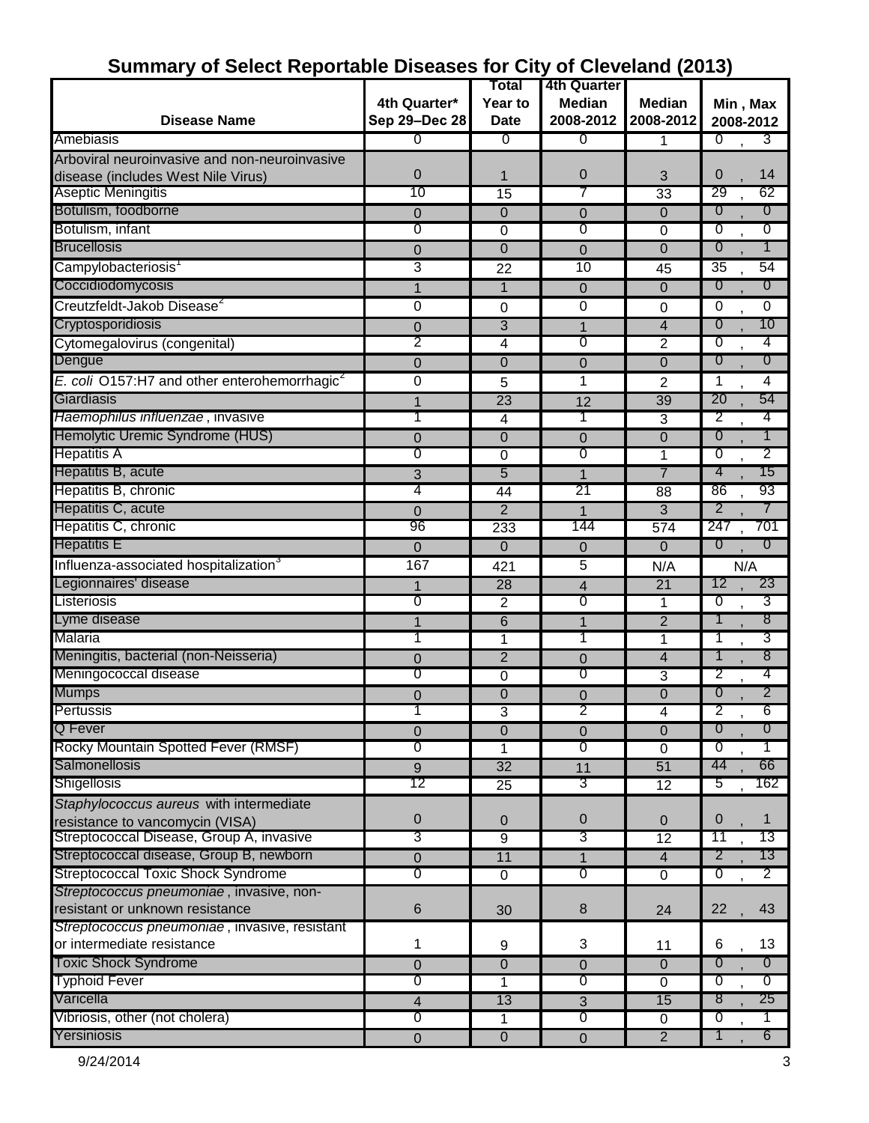|                                                          |               | Total                | 4th Quarter     |                     |                                  |
|----------------------------------------------------------|---------------|----------------------|-----------------|---------------------|----------------------------------|
|                                                          | 4th Quarter*  | Year to              | <b>Median</b>   | <b>Median</b>       | Min, Max                         |
| <b>Disease Name</b>                                      | Sep 29-Dec 28 | <b>Date</b>          | 2008-2012       | 2008-2012           | 2008-2012                        |
| Amebiasis                                                | 0             | σ                    | 0               | 1                   | 0<br>3                           |
| Arboviral neuroinvasive and non-neuroinvasive            |               |                      |                 |                     |                                  |
| disease (includes West Nile Virus)                       | 0             | 1                    | 0               | 3                   | 0<br>14                          |
| Aseptic Meningitis                                       | 10            | 15                   |                 | 33                  | 62<br>29                         |
| Botulism, foodborne                                      | 0             | $\mathbf{0}$         | 0               | $\overline{0}$      | 0<br>0                           |
| Botulism, infant                                         | 0             | $\overline{0}$       | 0               | $\overline{0}$      | 0<br>0                           |
| <b>Brucellosis</b>                                       | 0             | 0                    | $\mathbf 0$     | 0                   | 0<br>1                           |
| Campylobacteriosis <sup>1</sup>                          | 3             | 22                   | $\overline{10}$ | 45                  | $\overline{35}$<br>54            |
| Coccidiodomycosis                                        | 1             | $\mathbf 1$          | 0               | $\mathbf 0$         | 0<br>0                           |
| Creutzfeldt-Jakob Disease <sup>2</sup>                   | 0             | 0                    | 0               | 0                   | 0<br>0                           |
| Cryptosporidiosis                                        | 0             | 3                    | 1               | 4                   | 0<br>10                          |
| Cytomegalovirus (congenital)                             | 2             | 4                    | 0               | 2                   | 0<br>4                           |
| Dengue                                                   | 0             | $\mathbf 0$          | 0               | $\overline{0}$      | 0<br>0                           |
| E. coli O157:H7 and other enterohemorrhagic <sup>2</sup> | 0             | 5                    | 1               | 2                   | 4<br>1                           |
| Giardiasis                                               | 1             | 23                   | 12              | 39                  | 54<br>20                         |
| Haemophilus influenzae, invasive                         | 1             | 4                    |                 | $\overline{3}$      | 2<br>4                           |
| Hemolytic Uremic Syndrome (HUS)                          | 0             | 0                    | 0               | 0                   | 0<br>1                           |
| <b>Hepatitis A</b>                                       | 0             | $\overline{0}$       | 0               | 1                   | $\overline{0}$<br>2              |
| Hepatitis B, acute                                       | 3             | 5                    | 1               | $\overline{7}$      | 4<br>15                          |
| Hepatitis B, chronic                                     | 4             | 44                   | 21              | 88                  | 86<br>93                         |
| Hepatitis C, acute                                       | 0             | 2                    |                 | 3                   | 2                                |
| Hepatitis C, chronic                                     | 96            | 233                  | 144             | 574                 | 247<br>701                       |
| <b>Hepatitis E</b>                                       | 0             | $\overline{0}$       | 0               | 0                   | 0<br>0                           |
| Influenza-associated hospitalization <sup>3</sup>        | 167           | 421                  | 5               | N/A                 | N/A                              |
| Legionnaires' disease                                    |               | 28                   | 4               | $\overline{21}$     | 12<br>23                         |
| Listeriosis                                              | 1<br>0        | 2                    | 0               | 1                   | 3<br>0                           |
| Lyme disease                                             | 1             | 6                    | 1               | $\overline{2}$      | 8<br>1                           |
| Malaria                                                  | 1             | 1                    | 1               | 1                   | 3<br>1                           |
| Meningitis, bacterial (non-Neisseria)                    | 0             | $\overline{2}$       | $\overline{0}$  | 4                   | 8<br>1                           |
| Meningococcal disease                                    | 0             | 0                    | 0               | 3                   | 2<br>4                           |
| <b>Mumps</b>                                             | 0             | 0                    | 0               | 0                   | 2<br>0                           |
| Pertussis                                                |               |                      | ∠               |                     | 6<br>۷                           |
| Q Fever                                                  | $\mathbf 0$   | J.<br>$\overline{0}$ | $\mathbf 0$     | 4<br>$\overline{0}$ | $\overline{0}$<br>$\overline{0}$ |
| Rocky Mountain Spotted Fever (RMSF)                      | 0             | 1                    | $\overline{0}$  | $\overline{0}$      | 0<br>1                           |
| Salmonellosis                                            | 9             | 32                   | 11              | 51                  | 44<br>66                         |
| Shigellosis                                              | 12            | $\overline{25}$      | 3               | $\overline{12}$     | 162<br>5                         |
| Staphylococcus aureus with intermediate                  |               |                      |                 |                     |                                  |
| resistance to vancomycin (VISA)                          | 0             | $\mathbf 0$          | $\mathbf{0}$    | $\mathbf{0}$        | 0<br>1                           |
| Streptococcal Disease, Group A, invasive                 | 3             | $\overline{9}$       | 3               | 12                  | 11<br>13                         |
| Streptococcal disease, Group B, newborn                  | $\pmb{0}$     | 11                   | 1               | $\overline{4}$      | $\overline{2}$<br>13             |
| <b>Streptococcal Toxic Shock Syndrome</b>                | 0             | $\mathbf 0$          | $\sigma$        | 0                   | 2<br>$\overline{0}$              |
| Streptococcus pneumoniae, invasive, non-                 |               |                      |                 |                     |                                  |
| resistant or unknown resistance                          | 6             | 30                   | $\,8\,$         | 24                  | 22<br>43                         |
| Streptococcus pneumoniae, invasive, resistant            |               |                      |                 |                     |                                  |
| or intermediate resistance                               | 1             | 9                    | 3               | 11                  | 13<br>6                          |
| <b>Toxic Shock Syndrome</b>                              | 0             | $\overline{0}$       | $\Omega$        | $\overline{0}$      | $\overline{0}$<br>0              |
| <b>Typhoid Fever</b>                                     | 0             | 1                    | 0               | $\overline{0}$      | ত<br>ত                           |
| Varicella                                                | 4             | 13                   | 3               | 15                  | -8<br>25                         |
| Vibriosis, other (not cholera)                           | 0             | 1                    | 0               | $\overline{0}$      | 0                                |
| Yersiniosis                                              | $\pmb{0}$     | $\overline{0}$       | $\mathbf{0}$    | $\overline{2}$      | 6<br>$\mathbf{1}$                |
|                                                          |               |                      |                 |                     |                                  |

#### **Summary of Select Reportable Diseases for City of Cleveland (2013)**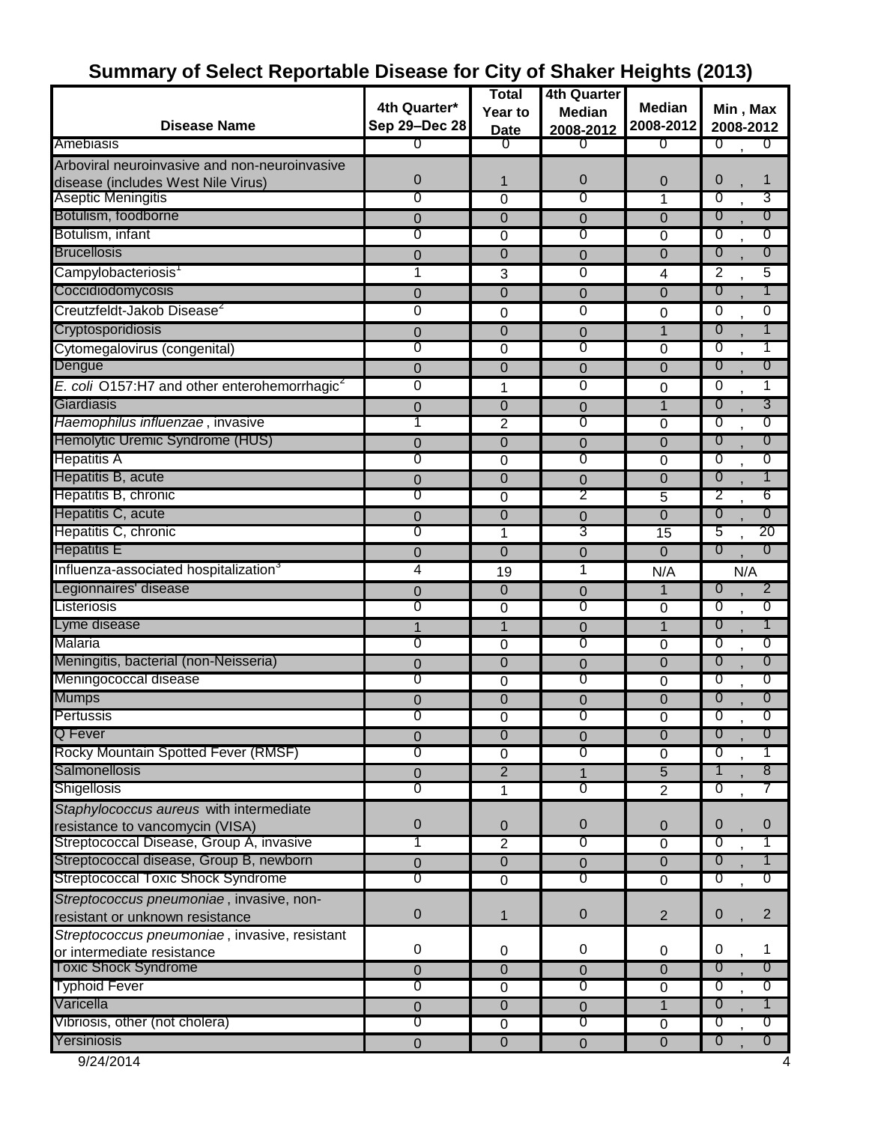|                                                          |               | <b>Total</b>   | <b>4th Quarter</b> |                 |                                  |
|----------------------------------------------------------|---------------|----------------|--------------------|-----------------|----------------------------------|
|                                                          | 4th Quarter*  | Year to        | <b>Median</b>      | <b>Median</b>   | Min, Max                         |
| <b>Disease Name</b>                                      | Sep 29-Dec 28 | <b>Date</b>    | 2008-2012          | 2008-2012       | 2008-2012                        |
| Amebiasis                                                | 0             | 0              | 0                  | 0               | ত<br>0                           |
| Arboviral neuroinvasive and non-neuroinvasive            |               |                |                    |                 |                                  |
| disease (includes West Nile Virus)                       | 0             | 1              | 0                  | 0               | 0<br>1                           |
| Aseptic Meningitis                                       | 0             | 0              | 0                  | 1               | 3<br>0                           |
| Botulism, foodborne                                      | 0             | $\mathbf 0$    | 0                  | $\overline{0}$  | 0<br>0                           |
| Botulism, infant                                         | 0             | 0              | 0                  | 0               | 0<br>0                           |
| <b>Brucellosis</b>                                       | 0             | 0              | 0                  | 0               | 0<br>0                           |
| Campylobacteriosis <sup>1</sup>                          | 1             | 3              | 0                  | 4               | $\overline{2}$<br>5              |
| Coccidiodomycosis                                        | $\mathbf 0$   | $\mathbf 0$    | 0                  | 0               | 0<br>1                           |
| Creutzfeldt-Jakob Disease <sup>2</sup>                   | 0             | 0              | 0                  | 0               | 0<br>0                           |
| Cryptosporidiosis                                        | 0             | 0              | 0                  | $\mathbf{1}$    | 0<br>1                           |
| Cytomegalovirus (congenital)                             | 0             | 0              | ত                  | $\overline{0}$  | 0                                |
| Dengue                                                   | $\mathbf 0$   | 0              | 0                  | $\mathbf 0$     | 0<br>0                           |
| E. coli O157:H7 and other enterohemorrhagic <sup>2</sup> | 0             | 1              | 0                  | 0               | 0<br>1                           |
| Giardiasis                                               | 0             | 0              | 0                  | $\mathbf{1}$    | 3<br>0                           |
| Haemophilus influenzae, invasive                         |               | 2              | 0                  | 0               | O<br>0                           |
| Hemolytic Uremic Syndrome (HUS)                          | 0             | 0              | 0                  | 0               | $\overline{0}$<br>0              |
| <b>Hepatitis A</b>                                       | 0             | 0              | 0                  | 0               | O<br>0                           |
| Hepatitis B, acute                                       | 0             | 0              | 0                  | $\Omega$        | $\overline{0}$<br>1              |
| Hepatitis B, chronic                                     | 0             | 0              | 2                  | 5               | 2<br>6                           |
| Hepatitis C, acute                                       | 0             | 0              | 0                  | 0               | $\overline{0}$<br>0              |
| Hepatitis C, chronic                                     | 0             | 1              | 3                  | $\overline{15}$ | 20<br>5                          |
| <b>Hepatitis E</b>                                       | 0             | 0              | 0                  | $\Omega$        | 0<br>$\overline{0}$              |
| Influenza-associated hospitalization <sup>3</sup>        | 4             | 19             | 1                  | N/A             | N/A                              |
| Legionnaires' disease                                    | 0             | $\mathbf 0$    | 0                  | 1               | 0<br>2                           |
| Listeriosis                                              | 0             | $\overline{0}$ | 0                  | $\overline{0}$  | 0<br>0                           |
| Lyme disease                                             | 1             | $\mathbf{1}$   | 0                  | 1               | 0<br>1                           |
| Malaria                                                  | 0             | $\overline{0}$ | 0                  | $\overline{0}$  | O<br>$\overline{0}$              |
| Meningitis, bacterial (non-Neisseria)                    | 0             | 0              | 0                  | 0               | 0<br>0                           |
| Meningococcal disease                                    | 0             | 0              | 0                  | 0               | 0<br>0                           |
| <b>Mumps</b>                                             | 0             | 0              | 0                  | $\mathbf 0$     | 0<br>0                           |
| Pertussis                                                | 0             | 0              | ∩                  | $\overline{0}$  | 0<br>O                           |
| Q Fever                                                  | 0             | $\pmb{0}$      | 0                  | $\overline{0}$  | 0<br>0                           |
| Rocky Mountain Spotted Fever (RMSF)                      | 0             | 0              | 0                  | 0               | $\overline{0}$                   |
| Salmonellosis                                            | 0             | $\overline{2}$ | 1                  | $\overline{5}$  | 8<br>1                           |
| <b>Shigellosis</b>                                       | 0             | 1              | σ                  | $\overline{2}$  | O                                |
| Staphylococcus aureus with intermediate                  |               |                |                    |                 |                                  |
| resistance to vancomycin (VISA)                          | 0             | $\mathbf 0$    | $\mathbf 0$        | 0               | 0<br>$\mathbf 0$                 |
| Streptococcal Disease, Group A, invasive                 | T             | $\overline{2}$ | 0                  | $\overline{0}$  | O                                |
| Streptococcal disease, Group B, newborn                  | 0             | $\overline{0}$ | $\pmb{0}$          | $\overline{0}$  | 0                                |
| <b>Streptococcal Toxic Shock Syndrome</b>                | 0             | 0              | 0                  | $\overline{0}$  | 0<br>0                           |
| Streptococcus pneumoniae, invasive, non-                 |               |                |                    |                 |                                  |
| resistant or unknown resistance                          | $\pmb{0}$     | 1              | $\mathbf 0$        | $\overline{2}$  | $\mathbf{2}$<br>$\theta$         |
| Streptococcus pneumoniae, invasive, resistant            |               |                |                    |                 |                                  |
| or intermediate resistance                               | $\pmb{0}$     | 0              | 0                  | 0               | 0<br>1                           |
| <b>Toxic Shock Syndrome</b>                              | 0             | $\overline{0}$ | $\mathbf 0$        | $\overline{0}$  | $\overline{0}$<br>$\overline{0}$ |
| <b>Typhoid Fever</b>                                     | 0             | $\overline{0}$ | $\sigma$           | $\overline{0}$  | 0<br>0                           |
| Varicella                                                | 0             | 0              | $\mathbf 0$        | $\mathbf{1}$    | 0<br>1                           |
| Vibriosis, other (not cholera)                           | 0             | $\overline{0}$ | 0                  | $\overline{0}$  | σ<br>$\overline{0}$              |
| Yersiniosis                                              | $\pmb{0}$     | $\overline{0}$ | $\mathbf{0}$       | $\overline{0}$  | 0<br>$\overline{0}$              |
| 9/24/2014                                                |               |                |                    |                 | 4                                |

### **Summary of Select Reportable Disease for City of Shaker Heights (2013)**